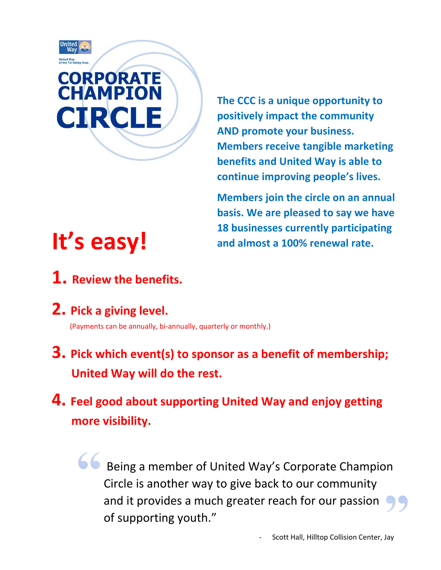

**The CCC is a unique opportunity to positively impact the community AND promote your business. Members receive tangible marketing benefits and United Way is able to continue improving people's lives.** 

**Members join the circle on an annual basis. We are pleased to say we have 18 businesses currently participating and almost a 100% renewal rate.**

# **It's easy!**

- **1. Review the benefits.**
- **2. Pick a giving level.**

(Payments can be annually, bi-annually, quarterly or monthly.)

- **3. Pick which event(s) to sponsor as a benefit of membership; United Way will do the rest.**
- **4. Feel good about supporting United Way and enjoy getting more visibility.**

Being a member of United Way's Corporate Champion Circle is another way to give back to our community **Th**and it provides a much greater reach for our passion of supporting youth."  $\overline{\phantom{a}}$